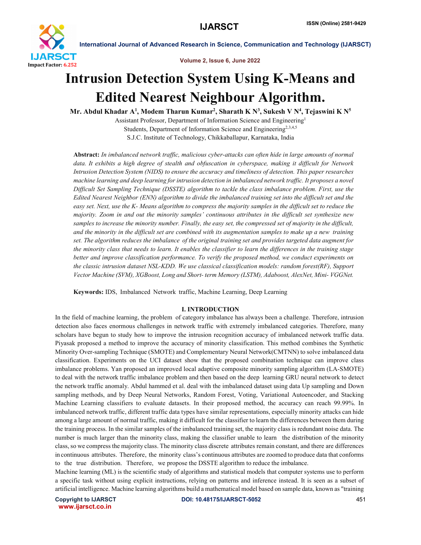

Volume 2, Issue 6, June 2022

# Intrusion Detection System Using K-Means and Edited Nearest Neighbour Algorithm.

Mr. Abdul Khadar A $^1$ , Modem Tharun Kumar $^2$ , Sharath K N $^3$ , Sukesh V N $^4$ , Tejaswini K N $^5$ 

Assistant Professor, Department of Information Science and Engineering1 Students, Department of Information Science and Engineering<sup>2,3,4,5</sup>

S.J.C. Institute of Technology, Chikkaballapur, Karnataka, India

Abstract: *In imbalanced network traffic, malicious cyber-attacks can often hide in large amounts of normal data. It exhibits a high degree of stealth and obfuscation in cyberspace, making it difficult for Network Intrusion Detection System (NIDS) to ensure the accuracy and timeliness of detection. This paper researches machine learning and deep learning for intrusion detection in imbalanced network traffic. It proposes a novel Difficult Set Sampling Technique (DSSTE) algorithm to tackle the class imbalance problem. First, use the Edited Nearest Neighbor (ENN) algorithm to divide the imbalanced training set into the difficult set and the easy set. Next, use the K- Means algorithm to compress the majority samples in the difficult set to reduce the majority. Zoom in and out the minority samples' continuous attributes in the difficult set synthesize new samples to increase the minority number. Finally, the easy set, the compressed set of majority in the difficult, and the minority in the difficult set are combined with its augmentation samples to make up a new training set. The algorithm reduces the imbalance of the original training set and provides targeted data augment for the minority class that needs to learn. It enables the classifier to learn the differences in the training stage better and improve classification performance. To verify the proposed method, we conduct experiments on the classic intrusion dataset NSL-KDD. We use classical classification models: random forest(RF), Support Vector Machine (SVM), XGBoost, Long and Short- term Memory (LSTM), Adaboost, AlexNet, Mini- VGGNet.*

Keywords: IDS, Imbalanced Network traffic, Machine Learning, Deep Learning

### I. INTRODUCTION

In the field of machine learning, the problem of category imbalance has always been a challenge. Therefore, intrusion detection also faces enormous challenges in network traffic with extremely imbalanced categories. Therefore, many scholars have begun to study how to improve the intrusion recognition accuracy of imbalanced network traffic data. Piyasak proposed a method to improve the accuracy of minority classification. This method combines the Synthetic Minority Over-sampling Technique (SMOTE) and Complementary Neural Network(CMTNN) to solve imbalanced data classification. Experiments on the UCI dataset show that the proposed combination technique can improve class imbalance problems. Yan proposed an improved local adaptive composite minority sampling algorithm (LA-SMOTE) to deal with the network traffic imbalance problem and then based on the deep learning GRU neural network to detect the network traffic anomaly. Abdul hammed et al. deal with the imbalanced dataset using data Up sampling and Down sampling methods, and by Deep Neural Networks, Random Forest, Voting, Variational Autoencoder, and Stacking Machine Learning classifiers to evaluate datasets. In their proposed method, the accuracy can reach 99.99%. In imbalanced network traffic, different traffic data types have similar representations, especially minority attacks can hide among a large amount of normal traffic, making it difficult for the classifier to learn the differences between them during the training process. In the similar samples of the imbalanced training set, the majority class is redundant noise data. The number is much larger than the minority class, making the classifier unable to learn the distribution of the minority class, so we compress the majority class. The minority class discrete attributes remain constant, and there are differences in continuous attributes. Therefore, the minority class's continuous attributes are zoomed to produce data that conforms to the true distribution. Therefore, we propose the DSSTE algorithm to reduce the imbalance.

Machine learning (ML) is the scientific study of algorithms and statistical models that computer systems use to perform a specific task without using explicit instructions, relying on patterns and inference instead. It is seen as a subset of artificial intelligence. Machine learning algorithms build a mathematical model based on sample data, known as "training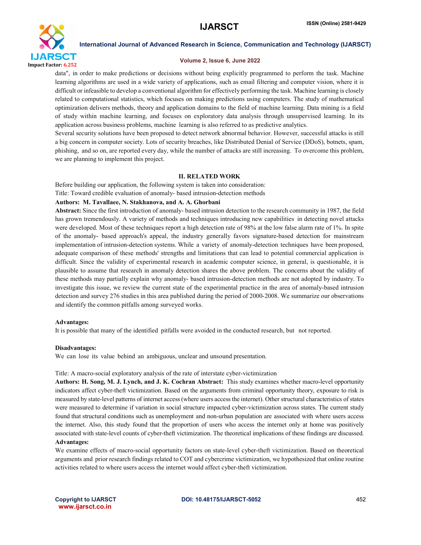

#### Volume 2, Issue 6, June 2022

data", in order to make predictions or decisions without being explicitly programmed to perform the task. Machine learning algorithms are used in a wide variety of applications, such as email filtering and computer vision, where it is difficult or infeasible to develop a conventional algorithm for effectively performing the task. Machine learning is closely related to computational statistics, which focuses on making predictions using computers. The study of mathematical optimization delivers methods, theory and application domains to the field of machine learning. Data mining is a field of study within machine learning, and focuses on exploratory data analysis through unsupervised learning. In its application across business problems, machine learning is also referred to as predictive analytics.

Several security solutions have been proposed to detect network abnormal behavior. However, successful attacks is still a big concern in computer society. Lots of security breaches, like Distributed Denial of Service (DDoS), botnets, spam, phishing, and so on, are reported every day, while the number of attacks are still increasing. To overcome this problem, we are planning to implement this project.

#### II. RELATED WORK

Before building our application, the following system is taken into consideration:

## Title: Toward credible evaluation of anomaly- based intrusion-detection methods

### Authors: M. Tavallaee, N. Stakhanova, and A. A. Ghorbani

Abstract: Since the first introduction of anomaly- based intrusion detection to the research community in 1987, the field has grown tremendously. A variety of methods and techniques introducing new capabilities in detecting novel attacks were developed. Most of these techniques report a high detection rate of 98% at the low false alarm rate of 1%. In spite of the anomaly- based approach's appeal, the industry generally favors signature-based detection for mainstream implementation of intrusion-detection systems. While a variety of anomaly-detection techniques have been proposed, adequate comparison of these methods' strengths and limitations that can lead to potential commercial application is difficult. Since the validity of experimental research in academic computer science, in general, is questionable, it is plausible to assume that research in anomaly detection shares the above problem. The concerns about the validity of these methods may partially explain why anomaly- based intrusion-detection methods are not adopted by industry. To investigate this issue, we review the current state of the experimental practice in the area of anomaly-based intrusion detection and survey 276 studies in this area published during the period of 2000-2008. We summarize our observations and identify the common pitfalls among surveyed works.

#### Advantages:

It is possible that many of the identified pitfalls were avoided in the conducted research, but not reported.

#### Disadvantages:

We can lose its value behind an ambiguous, unclear and unsound presentation.

#### Title: A macro-social exploratory analysis of the rate of interstate cyber-victimization

Authors: H. Song, M. J. Lynch, and J. K. Cochran Abstract: This study examines whether macro-level opportunity indicators affect cyber-theft victimization. Based on the arguments from criminal opportunity theory, exposure to risk is measured by state-level patterns of internet access (where users access the internet). Other structural characteristics of states were measured to determine if variation in social structure impacted cyber-victimization across states. The current study found that structural conditions such as unemployment and non-urban population are associated with where users access the internet. Also, this study found that the proportion of users who access the internet only at home was positively associated with state-level counts of cyber-theft victimization. The theoretical implications of these findings are discussed. Advantages:

We examine effects of macro-social opportunity factors on state-level cyber-theft victimization. Based on theoretical arguments and prior research findings related to COT and cybercrime victimization, we hypothesized that online routine activities related to where users access the internet would affect cyber-theft victimization.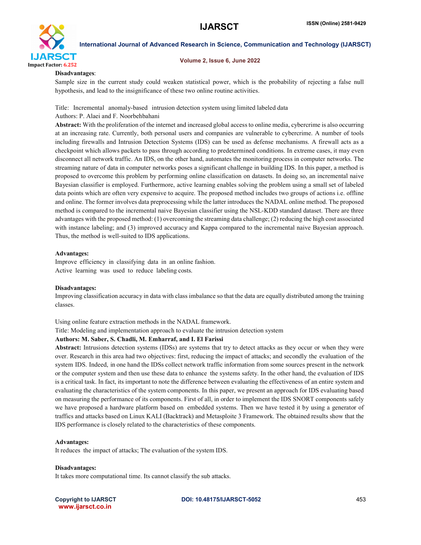

#### Volume 2, Issue 6, June 2022

#### Disadvantages:

Sample size in the current study could weaken statistical power, which is the probability of rejecting a false null hypothesis, and lead to the insignificance of these two online routine activities.

Title: Incremental anomaly-based intrusion detection system using limited labeled data Authors: P. Alaei and F. Noorbehbahani

Abstract: With the proliferation of the internet and increased global access to online media, cybercrime is also occurring at an increasing rate. Currently, both personal users and companies are vulnerable to cybercrime. A number of tools including firewalls and Intrusion Detection Systems (IDS) can be used as defense mechanisms. A firewall acts as a checkpoint which allows packets to pass through according to predetermined conditions. In extreme cases, it may even disconnect all network traffic. An IDS, on the other hand, automates the monitoring process in computer networks. The streaming nature of data in computer networks poses a significant challenge in building IDS. In this paper, a method is proposed to overcome this problem by performing online classification on datasets. In doing so, an incremental naive Bayesian classifier is employed. Furthermore, active learning enables solving the problem using a small set of labeled data points which are often very expensive to acquire. The proposed method includes two groups of actions i.e. offline and online. The former involves data preprocessing while the latter introduces the NADAL online method. The proposed method is compared to the incremental naive Bayesian classifier using the NSL-KDD standard dataset. There are three advantages with the proposed method: (1) overcoming the streaming data challenge; (2) reducing the high cost associated with instance labeling; and (3) improved accuracy and Kappa compared to the incremental naive Bayesian approach. Thus, the method is well-suited to IDS applications.

#### Advantages:

Improve efficiency in classifying data in an online fashion. Active learning was used to reduce labeling costs.

### Disadvantages:

Improving classification accuracy in data with class imbalance so that the data are equally distributed among the training classes.

### Using online feature extraction methods in the NADAL framework.

Title: Modeling and implementation approach to evaluate the intrusion detection system

### Authors: M. Saber, S. Chadli, M. Emharraf, and I. El Farissi

Abstract: Intrusions detection systems (IDSs) are systems that try to detect attacks as they occur or when they were over. Research in this area had two objectives: first, reducing the impact of attacks; and secondly the evaluation of the system IDS. Indeed, in one hand the IDSs collect network traffic information from some sources present in the network or the computer system and then use these data to enhance the systems safety. In the other hand, the evaluation of IDS is a critical task. In fact, its important to note the difference between evaluating the effectiveness of an entire system and evaluating the characteristics of the system components. In this paper, we present an approach for IDS evaluating based on measuring the performance of its components. First of all, in order to implement the IDS SNORT components safely we have proposed a hardware platform based on embedded systems. Then we have tested it by using a generator of traffics and attacks based on Linux KALI (Backtrack) and Metasploite 3 Framework. The obtained results show that the IDS performance is closely related to the characteristics of these components.

### Advantages:

It reduces the impact of attacks; The evaluation of the system IDS.

Disadvantages:

It takes more computational time. Its cannot classify the sub attacks.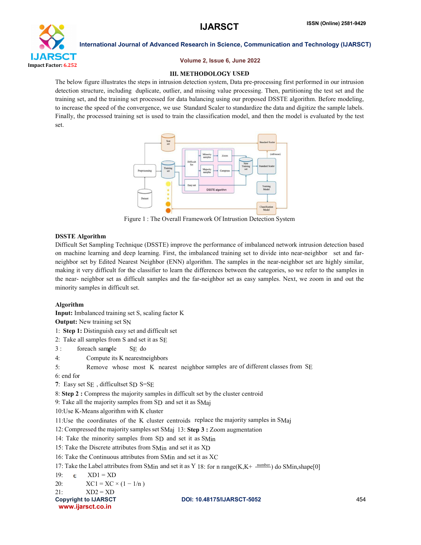

#### Volume 2, Issue 6, June 2022

#### **III. METHODOLOGY USED**

The below figure illustrates the steps in intrusion detection system, Data pre-processing first performed in our intrusion detection structure, including duplicate, outlier, and missing value processing. Then, partitioning the test set and the training set, and the training set processed for data balancing using our proposed DSSTE algorithm. Before modeling, to increase the speed of the convergence, we use Standard Scaler to standardize the data and digitize the sample labels. Finally, the processed training set is used to train the classification model, and then the model is evaluated by the test set.



Figure 1 : The Overall Framework Of Intrustion Detection System

#### DSSTE Algorithm

Difficult Set Sampling Technique (DSSTE) improve the performance of imbalanced network intrusion detection based on machine learning and deep learning. First, the imbalanced training set to divide into near-neighbor set and farneighbor set by Edited Nearest Neighbor (ENN) algorithm. The samples in the near-neighbor set are highly similar, making it very difficult for the classifier to learn the differences between the categories, so we refer to the samples in the near- neighbor set as difficult samples and the far-neighbor set as easy samples. Next, we zoom in and out the minority samples in difficult set.

### Algorithm

Copyright to IJARSCT **DOI: 10.48175/IJARSCT-5052** 454 www.ijarsct.co.in Input: Imbalanced training set S, scaling factor K Output: New training set SN 1: Step 1: Distinguish easy set and difficult set 2: Take all samples from S and set it as SE 3 : foreach sample SE do 4: Compute its K nearestneighbors 5: Remove whose most K nearest neighbor samples are of different classes from SE 6: end for 7: Easy set SE , difficultset SD S=SE 8: Step 2 : Compress the majority samples in difficult set by the cluster centroid 9: Take all the majority samples from SD and set it as SMaj 10:Use K-Means algorithm with K cluster 11:Use the coordinates of the K cluster centroids replace the majority samples in SMaj 12: Compressed the majority samples set SMaj 13: Step 3 : Zoom augmentation 14: Take the minority samples from SD and set it as SMin 15: Take the Discrete attributes from SMin and set it as XD 16: Take the Continuous attributes from SMin and set it as XC 17: Take the Label attributes from SMin and set it as Y 18: for n range(K,K+  $\frac{\text{number}}{\text{number}}}$ ) do SMin,shape[0] 19:  $\epsilon$  XD1 = XD 20:  $XC1 = XC \times (1 - 1/n)$  $21:$   $XD2 = XD$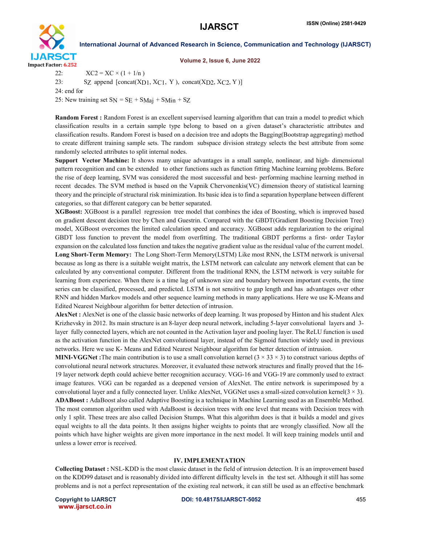

#### Volume 2, Issue 6, June 2022

22:  $XC2 = XC \times (1 + 1/n)$ 23: SZ append  $[concat(XD1, XC1, Y), concat(XD2, XC2, Y)]$ 24: end for 25: New training set  $SN = SE + S$ Maj + SMin + SZ

Random Forest : Random Forest is an excellent supervised learning algorithm that can train a model to predict which classification results in a certain sample type belong to based on a given dataset's characteristic attributes and classification results. Random Forest is based on a decision tree and adopts the Bagging(Bootstrap aggregating) method to create different training sample sets. The random subspace division strategy selects the best attribute from some randomly selected attributes to split internal nodes.

Support Vector Machine: It shows many unique advantages in a small sample, nonlinear, and high- dimensional pattern recognition and can be extended to other functions such as function fitting Machine learning problems. Before the rise of deep learning, SVM was considered the most successful and best- performing machine learning method in recent decades. The SVM method is based on the Vapnik Chervonenkis(VC) dimension theory of statistical learning theory and the principle of structural risk minimization. Its basic idea is to find a separation hyperplane between different categories, so that different category can be better separated.

XGBoost: XGBoost is a parallel regression tree model that combines the idea of Boosting, which is improved based on gradient descent decision tree by Chen and Guestrin. Compared with the GBDT(Gradient Boosting Decision Tree) model, XGBoost overcomes the limited calculation speed and accuracy. XGBoost adds regularization to the original GBDT loss function to prevent the model from overfitting. The traditional GBDT performs a first- order Taylor expansion on the calculated loss function and takes the negative gradient value as the residual value of the current model. Long Short-Term Memory: The Long Short-Term Memory(LSTM) Like most RNN, the LSTM network is universal because as long as there is a suitable weight matrix, the LSTM network can calculate any network element that can be calculated by any conventional computer. Different from the traditional RNN, the LSTM network is very suitable for learning from experience. When there is a time lag of unknown size and boundary between important events, the time series can be classified, processed, and predicted. LSTM is not sensitive to gap length and has advantages over other RNN and hidden Markov models and other sequence learning methods in many applications. Here we use K-Means and Edited Nearest Neighbour algorithm for better detection of intrusion.

AlexNet : AlexNet is one of the classic basic networks of deep learning. It was proposed by Hinton and his student Alex Krizhevsky in 2012. Its main structure is an 8-layer deep neural network, including 5-layer convolutional layers and 3 layer fully connected layers, which are not counted in the Activation layer and pooling layer. The ReLU function is used as the activation function in the AlexNet convolutional layer, instead of the Sigmoid function widely used in previous networks. Here we use K- Means and Edited Nearest Neighbour algorithm for better detection of intrusion.

**MINI-VGGNet**: The main contribution is to use a small convolution kernel  $(3 \times 33 \times 3)$  to construct various depths of convolutional neural network structures. Moreover, it evaluated these network structures and finally proved that the 16- 19 layer network depth could achieve better recognition accuracy. VGG-16 and VGG-19 are commonly used to extract image features. VGG can be regarded as a deepened version of AlexNet. The entire network is superimposed by a convolutional layer and a fully connected layer. Unlike AlexNet, VGGNet uses a small-sized convolution kernel( $3 \times 3$ ). ADABoost : AdaBoost also called Adaptive Boosting is a technique in Machine Learning used as an Ensemble Method. The most common algorithm used with AdaBoost is decision trees with one level that means with Decision trees with only 1 split. These trees are also called Decision Stumps. What this algorithm does is that it builds a model and gives equal weights to all the data points. It then assigns higher weights to points that are wrongly classified. Now all the points which have higher weights are given more importance in the next model. It will keep training models until and unless a lower error is received.

#### IV. IMPLEMENTATION

Collecting Dataset : NSL-KDD is the most classic dataset in the field of intrusion detection. It is an improvement based on the KDD99 dataset and is reasonably divided into different difficulty levels in the test set. Although it still has some problems and is not a perfect representation of the existing real network, it can still be used as an effective benchmark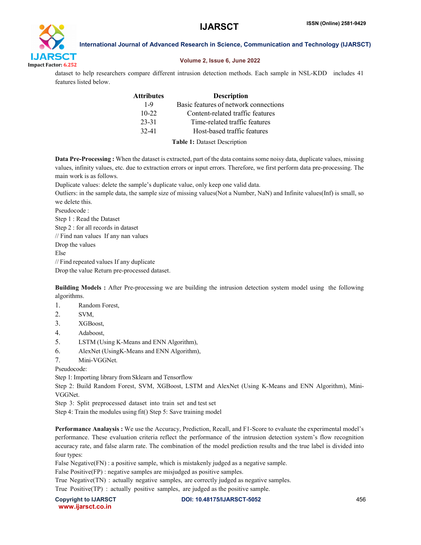

### Volume 2, Issue 6, June 2022

dataset to help researchers compare different intrusion detection methods. Each sample in NSL-KDD includes 41 features listed below.

| Attributes | <b>Description</b>                    |
|------------|---------------------------------------|
| 1-9        | Basic features of network connections |
| $10 - 22$  | Content-related traffic features      |
| 23-31      | Time-related traffic features         |
| 32-41      | Host-based traffic features           |
|            |                                       |

Table 1: Dataset Description

Data Pre-Processing : When the dataset is extracted, part of the data contains some noisy data, duplicate values, missing values, infinity values, etc. due to extraction errors or input errors. Therefore, we first perform data pre-processing. The main work is as follows.

Duplicate values: delete the sample's duplicate value, only keep one valid data.

Outliers: in the sample data, the sample size of missing values(Not a Number, NaN) and Infinite values(Inf) is small, so we delete this.

Pseudocode : Step 1 : Read the Dataset Step 2 : for all records in dataset // Find nan values If any nan values Drop the values Else // Find repeated values If any duplicate

Drop the value Return pre-processed dataset.

Building Models : After Pre-processing we are building the intrusion detection system model using the following algorithms.

- 1. Random Forest,
- 2. SVM,
- 3. XGBoost,
- 4. Adaboost,
- 5. LSTM (Using K-Means and ENN Algorithm),
- 6. AlexNet (UsingK-Means and ENN Algorithm),
- 7. Mini-VGGNet.

Pseudocode:

Step 1: Importing library from Sklearn and Tensorflow

Step 2: Build Random Forest, SVM, XGBoost, LSTM and AlexNet (Using K-Means and ENN Algorithm), Mini-VGGNet.

Step 3: Split preprocessed dataset into train set and test set

Step 4: Train the modules using fit() Step 5: Save training model

Performance Analaysis : We use the Accuracy, Prediction, Recall, and F1-Score to evaluate the experimental model's performance. These evaluation criteria reflect the performance of the intrusion detection system's flow recognition accuracy rate, and false alarm rate. The combination of the model prediction results and the true label is divided into four types:

False Negative(FN) : a positive sample, which is mistakenly judged as a negative sample.

False Positive(FP) : negative samples are misjudged as positive samples.

True Negative(TN) : actually negative samples, are correctly judged as negative samples.

True Positive(TP) : actually positive samples, are judged as the positive sample.

www.ijarsct.co.in

Copyright to IJARSCT **DOI: 10.48175/IJARSCT-5052** 456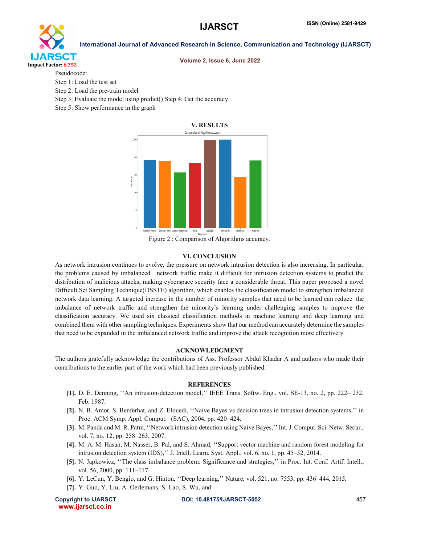

# Volume 2, Issue 6, June 2022

Pseudocode:

- Step 1: Load the test set
- Step 2: Load the pre-train model
- Step 3: Evaluate the model using predict() Step 4: Get the accuracy
- Step 5: Show performance in the graph



Figure 2 : Comparison of Algorithms accuracy.

#### VI. CONCLUSION

As network intrusion continues to evolve, the pressure on network intrusion detection is also increasing. In particular, the problems caused by imbalanced network traffic make it difficult for intrusion detection systems to predict the distribution of malicious attacks, making cyberspace security face a considerable threat. This paper proposed a novel Difficult Set Sampling Technique(DSSTE) algorithm, which enables the classification model to strengthen imbalanced network data learning. A targeted increase in the number of minority samples that need to be learned can reduce the imbalance of network traffic and strengthen the minority's learning under challenging samples to improve the classification accuracy. We used six classical classification methods in machine learning and deep learning and combined them with other sampling techniques. Experiments show that our method can accurately determine the samples that need to be expanded in the imbalanced network traffic and improve the attack recognition more effectively.

#### ACKNOWLEDGMENT

The authors gratefully acknowledge the contributions of Ass. Professor Abdul Khadar A and authors who made their contributions to the earlier part of the work which had been previously published.

#### **REFERENCES**

- [1]. D. E. Denning, ''An intrusion-detection model,'' IEEE Trans. Softw. Eng., vol. SE-13, no. 2, pp. 222– 232, Feb. 1987.
- [2]. N. B. Amor, S. Benferhat, and Z. Elouedi, ''Naive Bayes vs decision trees in intrusion detection systems,'' in Proc. ACM Symp. Appl. Comput. (SAC), 2004, pp. 420–424.
- [3]. M. Panda and M. R. Patra, ''Network intrusion detection using Naive Bayes,'' Int. J. Comput. Sci. Netw. Secur., vol. 7, no. 12, pp. 258–263, 2007.
- [4]. M. A. M. Hasan, M. Nasser, B. Pal, and S. Ahmad, ''Support vector machine and random forest modeling for intrusion detection system (IDS),'' J. Intell. Learn. Syst. Appl., vol. 6, no. 1, pp. 45–52, 2014.
- [5]. N. Japkowicz, ''The class imbalance problem: Significance and strategies,'' in Proc. Int. Conf. Artif. Intell., vol. 56, 2000, pp. 111–117.
- [6]. Y. LeCun, Y. Bengio, and G. Hinton, ''Deep learning,'' Nature, vol. 521, no. 7553, pp. 436–444, 2015.
- [7]. Y. Guo, Y. Liu, A. Oerlemans, S. Lao, S. Wu, and